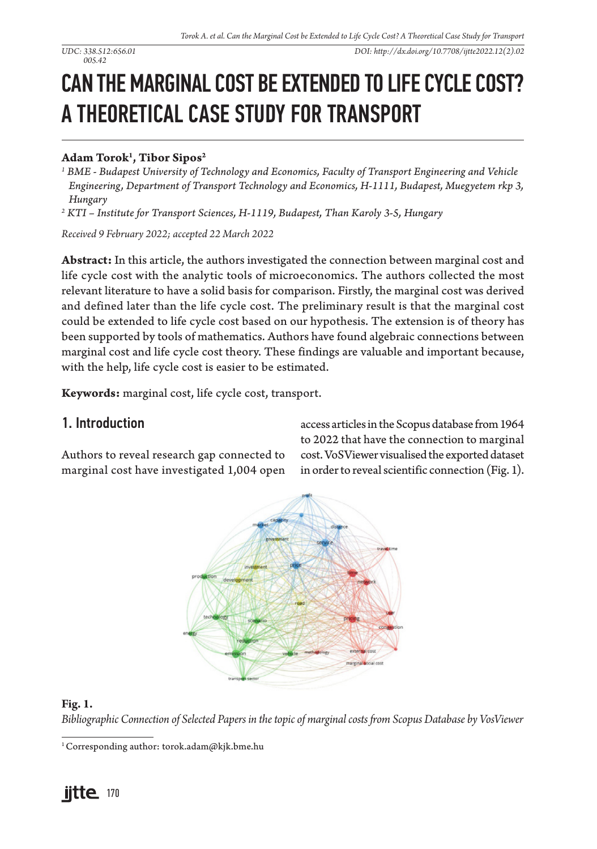# CAN THE MARGINAL COST BE EXTENDED TO LIFE CYCLE COST? A THEORETICAL CASE STUDY FOR TRANSPORT

## **Adam Torok1 , Tibor Sipos2**

- *<sup>1</sup> BME Budapest University of Technology and Economics, Faculty of Transport Engineering and Vehicle Engineering, Department of Transport Technology and Economics, H-1111, Budapest, Muegyetem rkp 3, Hungary*
- *2 KTI Institute for Transport Sciences, H-1119, Budapest, Than Karoly 3-5, Hungary*

*Received 9 February 2022; accepted 22 March 2022*

**Abstract:** In this article, the authors investigated the connection between marginal cost and life cycle cost with the analytic tools of microeconomics. The authors collected the most relevant literature to have a solid basis for comparison. Firstly, the marginal cost was derived and defined later than the life cycle cost. The preliminary result is that the marginal cost could be extended to life cycle cost based on our hypothesis. The extension is of theory has been supported by tools of mathematics. Authors have found algebraic connections between marginal cost and life cycle cost theory. These findings are valuable and important because, with the help, life cycle cost is easier to be estimated.

**Keywords:** marginal cost, life cycle cost, transport.

## 1. Introduction

Authors to reveal research gap connected to marginal cost have investigated 1,004 open access articles in the Scopus database from 1964 to 2022 that have the connection to marginal cost. VoSViewer visualised the exported dataset in order to reveal scientific connection (Fig. 1).



#### **Fig. 1.**

*Bibliographic Connection of Selected Papers in the topic of marginal costs from Scopus Database by VosViewer*

<sup>1</sup> Corresponding author: torok.adam@kjk.bme.hu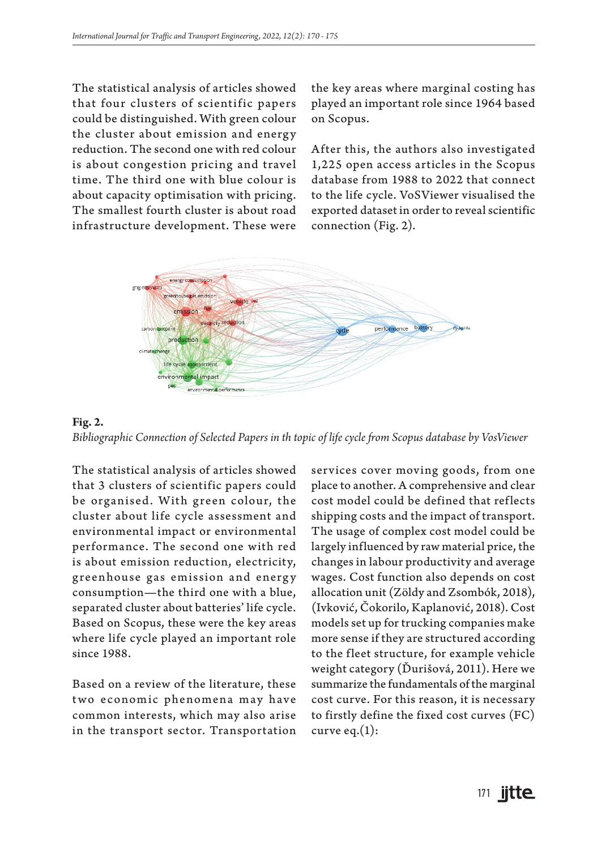The statistical analysis of articles showed that four clusters of scientific papers could be distinguished. With green colour the cluster about emission and energy reduction. The second one with red colour is about congestion pricing and travel time. The third one with blue colour is about capacity optimisation with pricing. The smallest fourth cluster is about road infrastructure development. These were

the key areas where marginal costing has played an important role since 1964 based on Scopus.

After this, the authors also investigated 1,225 open access articles in the Scopus database from 1988 to 2022 that connect to the life cycle. VoSViewer visualised the exported dataset in order to reveal scientific connection (Fig. 2).



**Fig. 2.** *Bibliographic Connection of Selected Papers in th topic of life cycle from Scopus database by VosViewer*

The statistical analysis of articles showed that 3 clusters of scientific papers could be organised. With green colour, the cluster about life cycle assessment and environmental impact or environmental performance. The second one with red is about emission reduction, electricity, greenhouse gas emission and energy consumption—the third one with a blue, separated cluster about batteries' life cycle. Based on Scopus, these were the key areas where life cycle played an important role since 1988.

Based on a review of the literature, these two economic phenomena may have common interests, which may also arise in the transport sector. Transportation

services cover moving goods, from one place to another. A comprehensive and clear cost model could be defined that reflects shipping costs and the impact of transport. The usage of complex cost model could be largely influenced by raw material price, the changes in labour productivity and average wages. Cost function also depends on cost allocation unit (Zöldy and Zsombók, 2018), (Ivković, Čokorilo, Kaplanović, 2018). Cost models set up for trucking companies make more sense if they are structured according to the fleet structure, for example vehicle weight category (Ďurišová, 2011). Here we summarize the fundamentals of the marginal cost curve. For this reason, it is necessary to firstly define the fixed cost curves (FC) curve eq. $(1)$ :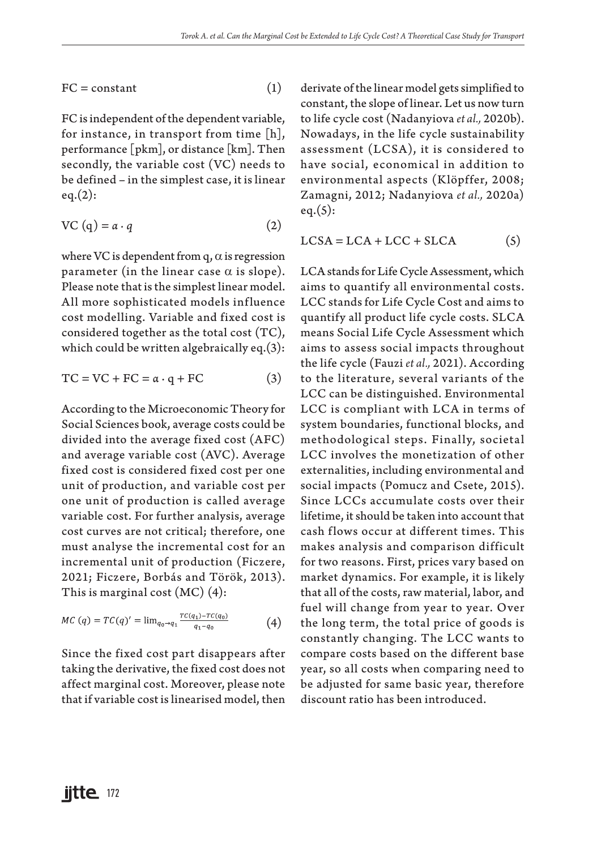$FC = constant$  (1)

FC is independent of the dependent variable, for instance, in transport from time [h], performance [pkm], or distance [km]. Then secondly, the variable cost (VC) needs to be defined – in the simplest case, it is linear  $eq.(2):$ 

$$
VC(q) = a \cdot q \tag{2}
$$

where VC is dependent from q,  $\alpha$  is regression parameter (in the linear case  $\alpha$  is slope). Please note that is the simplest linear model. All more sophisticated models influence cost modelling. Variable and fixed cost is considered together as the total cost (TC), which could be written algebraically eq.(3):

$$
TC = VC + FC = \alpha \cdot q + FC \tag{3}
$$

According to the Microeconomic Theory for Social Sciences book, average costs could be divided into the average fixed cost (AFC) and average variable cost (AVC). Average fixed cost is considered fixed cost per one unit of production, and variable cost per one unit of production is called average variable cost. For further analysis, average cost curves are not critical; therefore, one must analyse the incremental cost for an incremental unit of production (Ficzere, 2021; Ficzere, Borbás and Török, 2013). This is marginal cost (MC) (4):

$$
MC (q) = TC(q)' = \lim_{q_0 \to q_1} \frac{TC(q_1) - TC(q_0)}{q_1 - q_0}
$$
 (4)

Since the fixed cost part disappears after taking the derivative, the fixed cost does not affect marginal cost. Moreover, please note that if variable cost is linearised model, then derivate of the linear model gets simplified to constant, the slope of linear. Let us now turn to life cycle cost (Nadanyiova *et al.,* 2020b). Nowadays, in the life cycle sustainability assessment (LCSA), it is considered to have social, economical in addition to environmental aspects (Klöpffer, 2008; Zamagni, 2012; Nadanyiova *et al.,* 2020a)  $eq.(5):$ 

$$
LCSA = LCA + LCC + SLCA \tag{5}
$$

LCA stands for Life Cycle Assessment, which aims to quantify all environmental costs. LCC stands for Life Cycle Cost and aims to quantify all product life cycle costs. SLCA means Social Life Cycle Assessment which aims to assess social impacts throughout the life cycle (Fauzi *et al.,* 2021). According to the literature, several variants of the LCC can be distinguished. Environmental LCC is compliant with LCA in terms of system boundaries, functional blocks, and methodological steps. Finally, societal LCC involves the monetization of other externalities, including environmental and social impacts (Pomucz and Csete, 2015). Since LCCs accumulate costs over their lifetime, it should be taken into account that cash flows occur at different times. This makes analysis and comparison difficult for two reasons. First, prices vary based on market dynamics. For example, it is likely that all of the costs, raw material, labor, and fuel will change from year to year. Over the long term, the total price of goods is constantly changing. The LCC wants to compare costs based on the different base year, so all costs when comparing need to be adjusted for same basic year, therefore discount ratio has been introduced.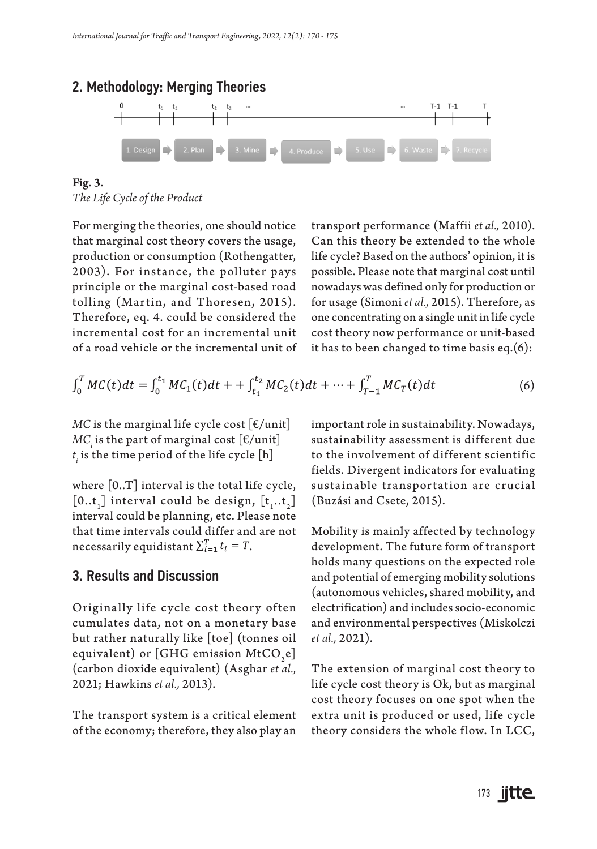

**Fig. 3.** *The Life Cycle of the Product*

For merging the theories, one should notice that marginal cost theory covers the usage, production or consumption (Rothengatter, 2003). For instance, the polluter pays principle or the marginal cost-based road tolling (Martin, and Thoresen, 2015). Therefore, eq. 4. could be considered the incremental cost for an incremental unit of a road vehicle or the incremental unit of transport performance (Maffii *et al.,* 2010). Can this theory be extended to the whole life cycle? Based on the authors' opinion, it is possible. Please note that marginal cost until nowadays was defined only for production or for usage (Simoni *et al.,* 2015). Therefore, as one concentrating on a single unit in life cycle cost theory now performance or unit-based it has to been changed to time basis eq.(6):

$$
\int_0^T MC(t)dt = \int_0^{t_1} MC_1(t)dt + \int_{t_1}^{t_2} MC_2(t)dt + \dots + \int_{T-1}^T MC_T(t)dt
$$
\n(6)

*MC* is the marginal life cycle cost  $\lceil \frac{\epsilon}{\mu} \rceil$  $MC_{i}$  is the part of marginal cost  $\lfloor \epsilon / \text{unit} \rfloor$  $t_{\scriptscriptstyle \hat{i}}$  is the time period of the life cycle  $\lfloor \text{h} \rfloor$ 

where [0..T] interval is the total life cycle,  $[0..t]$  interval could be design,  $[t_1..t_2]$ interval could be planning, etc. Please note that time intervals could differ and are not necessarily equidistant  $\sum_{i=1}^{T} t_i = T$ .

### 3. Results and Discussion

Originally life cycle cost theory often cumulates data, not on a monetary base but rather naturally like [toe] (tonnes oil equivalent) or [GHG emission MtCO<sub>2</sub>e] (carbon dioxide equivalent) (Asghar *et al.,* 2021; Hawkins *et al.,* 2013).

The transport system is a critical element of the economy; therefore, they also play an

important role in sustainability. Nowadays, sustainability assessment is different due to the involvement of different scientific fields. Divergent indicators for evaluating sustainable transportation are crucial (Buzási and Csete, 2015).

Mobility is mainly affected by technology development. The future form of transport holds many questions on the expected role and potential of emerging mobility solutions (autonomous vehicles, shared mobility, and electrification) and includes socio-economic and environmental perspectives (Miskolczi *et al.,* 2021).

The extension of marginal cost theory to life cycle cost theory is Ok, but as marginal cost theory focuses on one spot when the extra unit is produced or used, life cycle theory considers the whole flow. In LCC,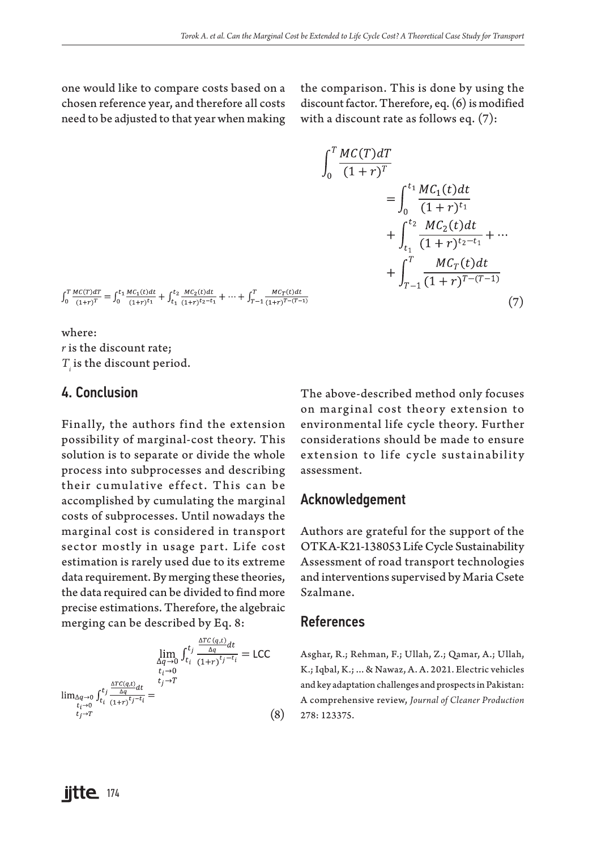one would like to compare costs based on a chosen reference year, and therefore all costs need to be adjusted to that year when making the comparison. This is done by using the discount factor. Therefore, eq. (6) is modified with a discount rate as follows eq. (7):

$$
\int_0^T \frac{MC(T) dT}{(1+r)^T} \n= \int_0^{t_1} \frac{MC_1(t) dt}{(1+r)^{t_1}} \n+ \int_{t_1}^{t_2} \frac{MC_2(t) dt}{(1+r)^{t_2-t_1}} + \cdots \n+ \int_{T-1}^T \frac{MC_T(t) dt}{(1+r)^{T-(T-1)}} \n(7)
$$

 $\int_0^T \frac{MC(T) dT}{(1+r)^T} = \int_0^t \frac{MC_1(t) dt}{(1+r)^{t_1}} + \int_{t_1}^t \frac{MC_2(t) dt}{(1+r)^{t_2-t_1}} + \cdots + \int_{T-1}^T \frac{MC_T(t) dt}{(1+r)^{T-(T-1)}}$ 

where: *r* is the discount rate;  $T_i$  is the discount period.

## 4. Conclusion

Finally, the authors find the extension possibility of marginal-cost theory. This solution is to separate or divide the whole process into subprocesses and describing their cumulative effect. This can be accomplished by cumulating the marginal costs of subprocesses. Until nowadays the marginal cost is considered in transport sector mostly in usage part. Life cost estimation is rarely used due to its extreme data requirement. By merging these theories, the data required can be divided to find more precise estimations. Therefore, the algebraic merging can be described by Eq. 8:

$$
\lim_{\substack{\Delta q \to 0 \\ t_i \to 0 \\ t_i \to 0}} f_{t_i}^{t_j} \frac{\frac{\Delta TC(q,t)}{\Delta q}}{(1+r)^{t_j-t_i}} = \text{LCC}
$$
\n
$$
\lim_{\substack{\Delta q \to 0 \\ t_i \to 0 \\ t_j \to T}} f_{t_i}^{t_j} \frac{\frac{\Delta TC(q,t)}{\Delta q}}{(1+r)^{t_j-t_i}} =
$$
\n
$$
\lim_{\substack{t_i \to 0 \\ t_j \to T}} (8)
$$

The above-described method only focuses on marginal cost theory extension to environmental life cycle theory. Further considerations should be made to ensure extension to life cycle sustainability assessment.

#### Acknowledgement

Authors are grateful for the support of the OTKA-K21-138053 Life Cycle Sustainability Assessment of road transport technologies and interventions supervised by Maria Csete Szalmane.

#### References

Asghar, R.; Rehman, F.; Ullah, Z.; Qamar, A.; Ullah, K.; Iqbal, K.; ... & Nawaz, A. A. 2021. Electric vehicles and key adaptation challenges and prospects in Pakistan: A comprehensive review, *Journal of Cleaner Production* 278: 123375.